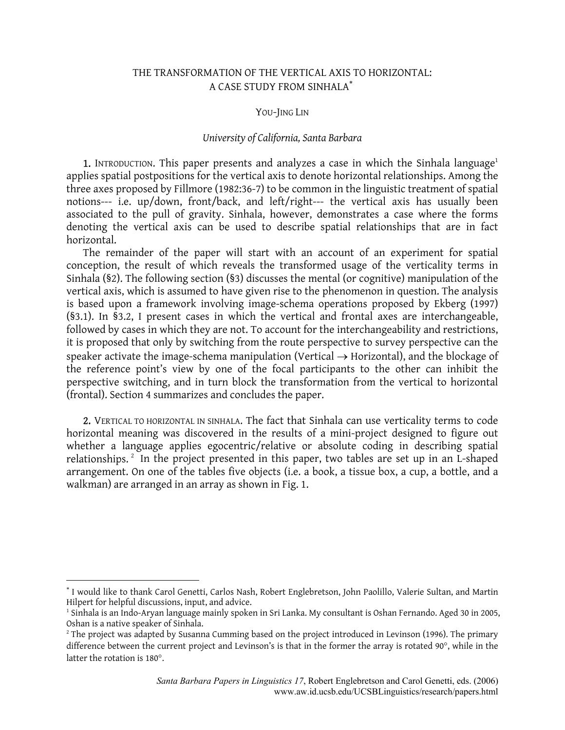# THE TRANSFORMATION OF THE VERTICAL AXIS TO HORIZONTAL: A CASE STUDY FROM SINHALA[∗](#page-0-0)

#### YOU-JING LIN

### *University of California, Santa Barbara*

**[1](#page-0-1).** INTRODUCTION. This paper presents and analyzes a case in which the Sinhala language<sup>1</sup> applies spatial postpositions for the vertical axis to denote horizontal relationships. Among the three axes proposed by Fillmore (1982:36-7) to be common in the linguistic treatment of spatial notions--- i.e. up/down, front/back, and left/right--- the vertical axis has usually been associated to the pull of gravity. Sinhala, however, demonstrates a case where the forms denoting the vertical axis can be used to describe spatial relationships that are in fact horizontal.

The remainder of the paper will start with an account of an experiment for spatial conception, the result of which reveals the transformed usage of the verticality terms in Sinhala (§2). The following section (§3) discusses the mental (or cognitive) manipulation of the vertical axis, which is assumed to have given rise to the phenomenon in question. The analysis is based upon a framework involving image-schema operations proposed by Ekberg (1997) (§3.1). In §3.2, I present cases in which the vertical and frontal axes are interchangeable, followed by cases in which they are not. To account for the interchangeability and restrictions, it is proposed that only by switching from the route perspective to survey perspective can the speaker activate the image-schema manipulation (Vertical  $\rightarrow$  Horizontal), and the blockage of the reference point's view by one of the focal participants to the other can inhibit the perspective switching, and in turn block the transformation from the vertical to horizontal (frontal). Section 4 summarizes and concludes the paper.

2. VERTICAL TO HORIZONTAL IN SINHALA. The fact that Sinhala can use verticality terms to code horizontal meaning was discovered in the results of a mini-project designed to figure out whether a language applies egocentric/relative or absolute coding in describing spatial relationships.<sup>2</sup> In the project presented in this paper, two tables are set up in an L-shaped arrangement. On one of the tables five objects (i.e. a book, a tissue box, a cup, a bottle, and a walkman) are arranged in an array as shown in Fig. 1.

 $\overline{a}$ 

<span id="page-0-0"></span><sup>∗</sup> I would like to thank Carol Genetti, Carlos Nash, Robert Englebretson, John Paolillo, Valerie Sultan, and Martin Hilpert for helpful discussions, input, and advice.<br><sup>1</sup> Sinhala is an Indo-Aryan language mainly spoken in Sri Lanka. My consultant is Oshan Fernando. Aged 30 in 2005,

<span id="page-0-1"></span>Oshan is a native speaker of Sinhala.<br><sup>2</sup> The project was adapted by Susanna Cumming based on the project introduced in Levinson (1996). The primary

<span id="page-0-2"></span>difference between the current project and Levinson's is that in the former the array is rotated 90°, while in the latter the rotation is 180°.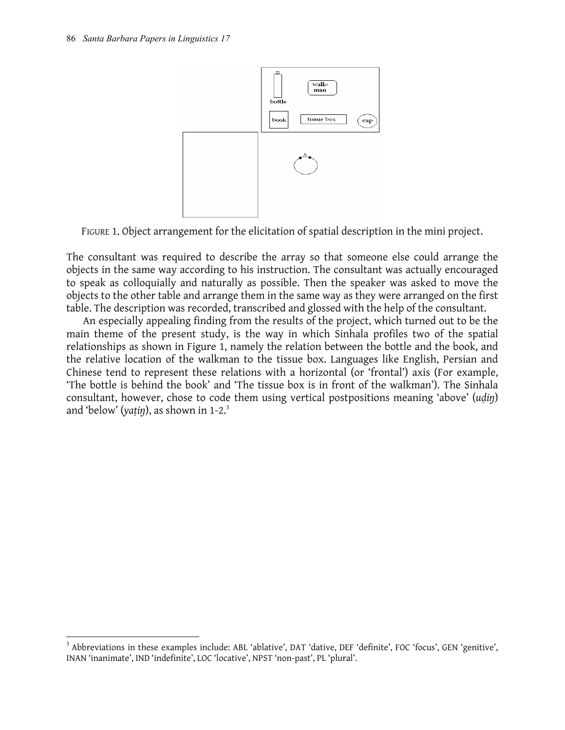1



FIGURE 1. Object arrangement for the elicitation of spatial description in the mini project.

The consultant was required to describe the array so that someone else could arrange the objects in the same way according to his instruction. The consultant was actually encouraged to speak as colloquially and naturally as possible. Then the speaker was asked to move the objects to the other table and arrange them in the same way as they were arranged on the first table. The description was recorded, transcribed and glossed with the help of the consultant.

An especially appealing finding from the results of the project, which turned out to be the main theme of the present study, is the way in which Sinhala profiles two of the spatial relationships as shown in Figure 1, namely the relation between the bottle and the book, and the relative location of the walkman to the tissue box. Languages like English, Persian and Chinese tend to represent these relations with a horizontal (or 'frontal') axis (For example, 'The bottle is behind the book' and 'The tissue box is in front of the walkman'). The Sinhala consultant, however, chose to code them using vertical postpositions meaning 'above' (*uḍiŋ*) and 'below' (*yaṭiŋ*), as shown in 1-2.[3](#page-1-0)

<span id="page-1-0"></span><sup>&</sup>lt;sup>3</sup> Abbreviations in these examples include: ABL 'ablative', DAT 'dative, DEF 'definite', FOC 'focus', GEN 'genitive', INAN 'inanimate', IND 'indefinite', LOC 'locative', NPST 'non-past', PL 'plural'.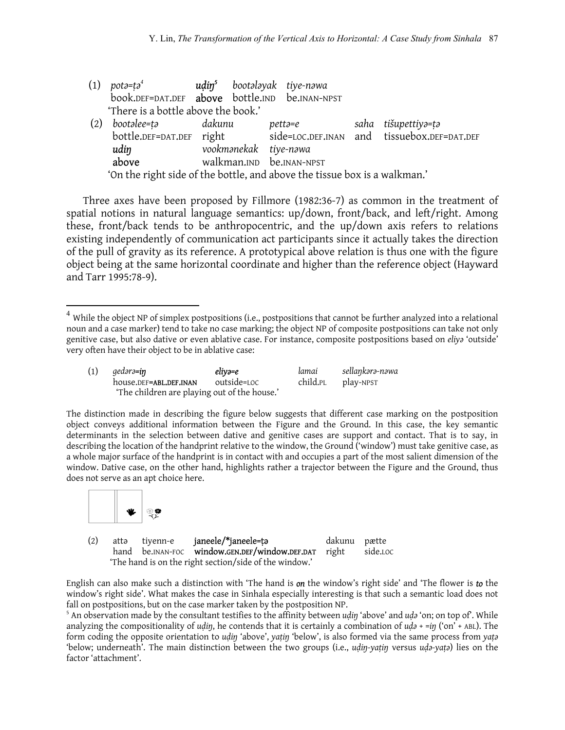| (1) | potə=tə $^4$                                                              | <b>udin<sup>5</sup></b> bootalayak tiye-nawa |         |  |                                                                      |  |
|-----|---------------------------------------------------------------------------|----------------------------------------------|---------|--|----------------------------------------------------------------------|--|
|     | book.DEF=DAT.DEF above bottle.IND be.INAN-NPST                            |                                              |         |  |                                                                      |  |
|     | 'There is a bottle above the book.'                                       |                                              |         |  |                                                                      |  |
| (2) | bootalee=ta                                                               | dakunu                                       | pettə=e |  | saha tišupettiyə=tə                                                  |  |
|     |                                                                           |                                              |         |  | bottle.DEF=DAT.DEF right side=LOC.DEF.INAN and tissuebox.DEF=DAT.DEF |  |
|     | vookmanekak tiye-nawa<br>udin                                             |                                              |         |  |                                                                      |  |
|     | above                                                                     | walkman.IND be.INAN-NPST                     |         |  |                                                                      |  |
|     | 'On the right side of the bottle, and above the tissue box is a walkman.' |                                              |         |  |                                                                      |  |

Three axes have been proposed by Fillmore (1982:36-7) as common in the treatment of spatial notions in natural language semantics: up/down, front/back, and left/right. Among these, front/back tends to be anthropocentric, and the up/down axis refers to relations existing independently of communication act participants since it actually takes the direction of the pull of gravity as its reference. A prototypical above relation is thus one with the figure object being at the same horizontal coordinate and higher than the reference object (Hayward and Tarr 1995:78-9).

<span id="page-2-0"></span> $^4$  While the object NP of simplex postpositions (i.e., postpositions that cannot be further analyzed into a relational noun and a case marker) tend to take no case marking; the object NP of composite postpositions can take not only genitive case, but also dative or even ablative case. For instance, composite postpositions based on *eliyǝ* 'outside' very often have their object to be in ablative case:

| (1) | aedərə <b>=in</b>                            | eliyə=e     | lamai    | sellaŋkərə-nəwa |
|-----|----------------------------------------------|-------------|----------|-----------------|
|     | house.DEF=ABL.DEF.INAN                       | outside=Loc | child.pL | play-NPST       |
|     | 'The children are playing out of the house.' |             |          |                 |

The distinction made in describing the figure below suggests that different case marking on the postposition object conveys additional information between the Figure and the Ground. In this case, the key semantic determinants in the selection between dative and genitive cases are support and contact. That is to say, in describing the location of the handprint relative to the window, the Ground ('window') must take genitive case, as a whole major surface of the handprint is in contact with and occupies a part of the most salient dimension of the window. Dative case, on the other hand, highlights rather a trajector between the Figure and the Ground, thus does not serve as an apt choice here.



 $\overline{a}$ 

| (2) | attə tivenn-e                                          | janeele/*janeele=tə                                  | dakunu pætte |          |
|-----|--------------------------------------------------------|------------------------------------------------------|--------------|----------|
|     |                                                        | hand be.INAN-FOC window.GEN.DEF/window.DEF.DAT right |              | side.LOC |
|     | 'The hand is on the right section/side of the window.' |                                                      |              |          |

English can also make such a distinction with 'The hand is *on* the window's right side' and 'The flower is *to* the window's right side'. What makes the case in Sinhala especially interesting is that such a semantic load does not fall on postpositions, but on the case marker taken by the postposition NP.

<span id="page-2-1"></span><sup>5</sup> An observation made by the consultant testifies to the affinity between *udin* 'above' and *uda* 'on; on top of'. While analyzing the compositionality of *udin*, he contends that it is certainly a combination of  $u d\vartheta$  + =in ('on' + ABL). The form coding the opposite orientation to *uḍiŋ* 'above', *yaṭiŋ* 'below', is also formed via the same process from *yaṭǝ* 'below; underneath'. The main distinction between the two groups (i.e., *uḍiŋ-yaṭiŋ* versus *uḍǝ-yaṭǝ*) lies on the factor 'attachment'.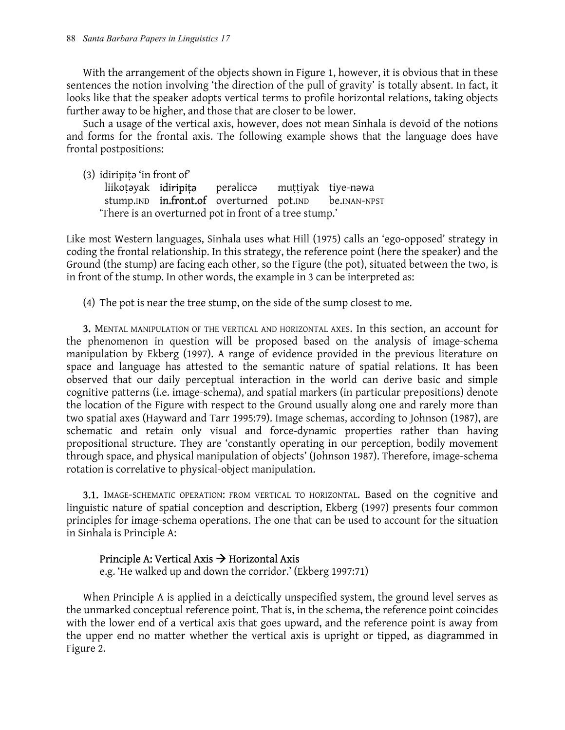With the arrangement of the objects shown in Figure 1, however, it is obvious that in these sentences the notion involving 'the direction of the pull of gravity' is totally absent. In fact, it looks like that the speaker adopts vertical terms to profile horizontal relations, taking objects further away to be higher, and those that are closer to be lower.

Such a usage of the vertical axis, however, does not mean Sinhala is devoid of the notions and forms for the frontal axis. The following example shows that the language does have frontal postpositions:

 $(3)$  idiripita 'in front of'

liikotayak **idiripita** peralicca muttiyak tiye-nawa stump.IND **in.front.of** overturned pot.IND **be.INAN-NPST** 'There is an overturned pot in front of a tree stump.'

Like most Western languages, Sinhala uses what Hill (1975) calls an 'ego-opposed' strategy in coding the frontal relationship. In this strategy, the reference point (here the speaker) and the Ground (the stump) are facing each other, so the Figure (the pot), situated between the two, is in front of the stump. In other words, the example in 3 can be interpreted as:

(4) The pot is near the tree stump, on the side of the sump closest to me.

3. MENTAL MANIPULATION OF THE VERTICAL AND HORIZONTAL AXES. In this section, an account for the phenomenon in question will be proposed based on the analysis of image-schema manipulation by Ekberg (1997). A range of evidence provided in the previous literature on space and language has attested to the semantic nature of spatial relations. It has been observed that our daily perceptual interaction in the world can derive basic and simple cognitive patterns (i.e. image-schema), and spatial markers (in particular prepositions) denote the location of the Figure with respect to the Ground usually along one and rarely more than two spatial axes (Hayward and Tarr 1995:79). Image schemas, according to Johnson (1987), are schematic and retain only visual and force-dynamic properties rather than having propositional structure. They are 'constantly operating in our perception, bodily movement through space, and physical manipulation of objects' (Johnson 1987). Therefore, image-schema rotation is correlative to physical-object manipulation.

3.1. IMAGE-SCHEMATIC OPERATION: FROM VERTICAL TO HORIZONTAL. Based on the cognitive and linguistic nature of spatial conception and description, Ekberg (1997) presents four common principles for image-schema operations. The one that can be used to account for the situation in Sinhala is Principle A:

## Principle A: Vertical Axis  $\rightarrow$  Horizontal Axis

e.g. 'He walked up and down the corridor.' (Ekberg 1997:71)

When Principle A is applied in a deictically unspecified system, the ground level serves as the unmarked conceptual reference point. That is, in the schema, the reference point coincides with the lower end of a vertical axis that goes upward, and the reference point is away from the upper end no matter whether the vertical axis is upright or tipped, as diagrammed in Figure 2.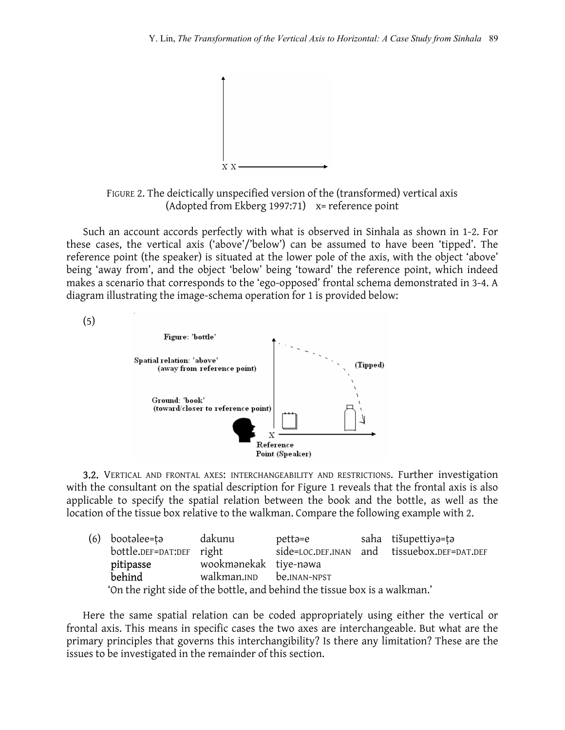

FIGURE 2. The deictically unspecified version of the (transformed) vertical axis (Adopted from Ekberg 1997:71) x= reference point

Such an account accords perfectly with what is observed in Sinhala as shown in 1-2. For these cases, the vertical axis ('above'/'below') can be assumed to have been 'tipped'. The reference point (the speaker) is situated at the lower pole of the axis, with the object 'above' being 'away from', and the object 'below' being 'toward' the reference point, which indeed makes a scenario that corresponds to the 'ego-opposed' frontal schema demonstrated in 3-4. A diagram illustrating the image-schema operation for 1 is provided below:

Figure: 'bottle' Spatial relation: 'above' (Tipped) (away from reference point) Ground: 'book' (toward/closer to reference point) Reference Point (Speaker)

3.2. VERTICAL AND FRONTAL AXES: INTERCHANGEABILITY AND RESTRICTIONS. Further investigation with the consultant on the spatial description for Figure 1 reveals that the frontal axis is also applicable to specify the spatial relation between the book and the bottle, as well as the location of the tissue box relative to the walkman. Compare the following example with 2.

|                                    | (6) bootalee=ta                                                            | dakunu                | pettə=e |  | saha tišupettiyə=tə                         |  |
|------------------------------------|----------------------------------------------------------------------------|-----------------------|---------|--|---------------------------------------------|--|
|                                    | bottle.DEF=DAT:DEF right                                                   |                       |         |  | side=LOC.DEF.INAN and tissuebox.DEF=DAT.DEF |  |
|                                    | pitipasse                                                                  | wookmanekak tiye-nawa |         |  |                                             |  |
| behind<br>walkman.IND be.INAN-NPST |                                                                            |                       |         |  |                                             |  |
|                                    | 'On the right side of the bottle, and behind the tissue box is a walkman.' |                       |         |  |                                             |  |

Here the same spatial relation can be coded appropriately using either the vertical or frontal axis. This means in specific cases the two axes are interchangeable. But what are the primary principles that governs this interchangibility? Is there any limitation? These are the issues to be investigated in the remainder of this section.

(5)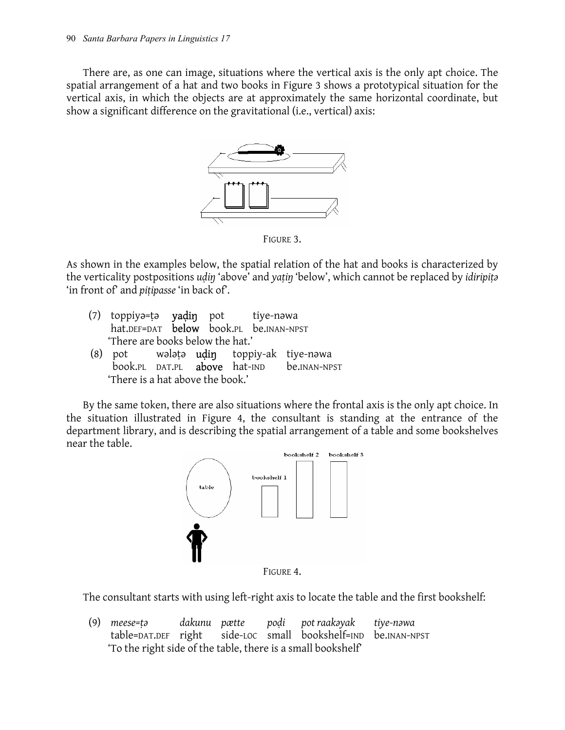There are, as one can image, situations where the vertical axis is the only apt choice. The spatial arrangement of a hat and two books in Figure 3 shows a prototypical situation for the vertical axis, in which the objects are at approximately the same horizontal coordinate, but show a significant difference on the gravitational (i.e., vertical) axis:



FIGURE 3.

As shown in the examples below, the spatial relation of the hat and books is characterized by the verticality postpositions *uḍiŋ* 'above' and *yaṭiŋ* 'below', which cannot be replaced by *idiripiṭǝ* 'in front of' and *piṭipasse* 'in back of'.

| (7) toppiya=ta yadin pot tiye-nawa<br>hat.DEF=DAT below book.PL be.INAN-NPST |  |  |
|------------------------------------------------------------------------------|--|--|
| 'There are books below the hat.'                                             |  |  |
| (8) pot walata <b>udin</b> toppiy-ak tiye-nawa                               |  |  |

book.PL DAT.PL above hat-IND be.INAN-NPST 'There is a hat above the book.'

By the same token, there are also situations where the frontal axis is the only apt choice. In the situation illustrated in Figure 4, the consultant is standing at the entrance of the department library, and is describing the spatial arrangement of a table and some bookshelves near the table.



FIGURE 4.

The consultant starts with using left-right axis to locate the table and the first bookshelf:

(9) *meese=ṭǝ dakunu pætte poḍi pot raakǝyak tiye-nǝwa*  table=DAT.DEF right side-LOC small bookshelf=IND be.INAN-NPST 'To the right side of the table, there is a small bookshelf'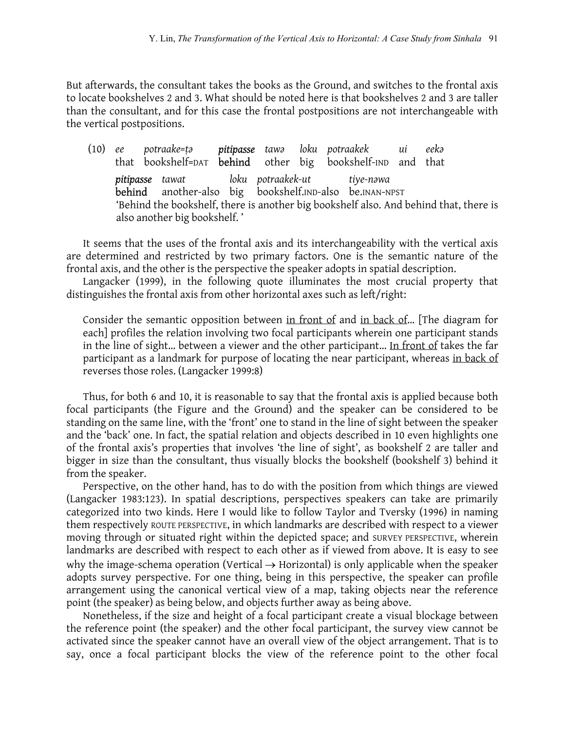But afterwards, the consultant takes the books as the Ground, and switches to the frontal axis to locate bookshelves 2 and 3. What should be noted here is that bookshelves 2 and 3 are taller than the consultant, and for this case the frontal postpositions are not interchangeable with the vertical postpositions.

(10) *ee potraake=ṭǝ pitipasse tawǝ loku potraakek ui eekǝ* that bookshelf=DAT behind other big bookshelf-IND and that *pitipasse tawat loku potraakek-ut tiye-nǝwa*  behind another-also big bookshelf.IND-also be.INAN-NPST 'Behind the bookshelf, there is another big bookshelf also. And behind that, there is also another big bookshelf. '

It seems that the uses of the frontal axis and its interchangeability with the vertical axis are determined and restricted by two primary factors. One is the semantic nature of the frontal axis, and the other is the perspective the speaker adopts in spatial description.

Langacker (1999), in the following quote illuminates the most crucial property that distinguishes the frontal axis from other horizontal axes such as left/right:

Consider the semantic opposition between in front of and in back of… [The diagram for each] profiles the relation involving two focal participants wherein one participant stands in the line of sight… between a viewer and the other participant… In front of takes the far participant as a landmark for purpose of locating the near participant, whereas in back of reverses those roles. (Langacker 1999:8)

Thus, for both 6 and 10, it is reasonable to say that the frontal axis is applied because both focal participants (the Figure and the Ground) and the speaker can be considered to be standing on the same line, with the 'front' one to stand in the line of sight between the speaker and the 'back' one. In fact, the spatial relation and objects described in 10 even highlights one of the frontal axis's properties that involves 'the line of sight', as bookshelf 2 are taller and bigger in size than the consultant, thus visually blocks the bookshelf (bookshelf 3) behind it from the speaker.

Perspective, on the other hand, has to do with the position from which things are viewed (Langacker 1983:123). In spatial descriptions, perspectives speakers can take are primarily categorized into two kinds. Here I would like to follow Taylor and Tversky (1996) in naming them respectively ROUTE PERSPECTIVE, in which landmarks are described with respect to a viewer moving through or situated right within the depicted space; and SURVEY PERSPECTIVE, wherein landmarks are described with respect to each other as if viewed from above. It is easy to see why the image-schema operation (Vertical  $\rightarrow$  Horizontal) is only applicable when the speaker adopts survey perspective. For one thing, being in this perspective, the speaker can profile arrangement using the canonical vertical view of a map, taking objects near the reference point (the speaker) as being below, and objects further away as being above.

Nonetheless, if the size and height of a focal participant create a visual blockage between the reference point (the speaker) and the other focal participant, the survey view cannot be activated since the speaker cannot have an overall view of the object arrangement. That is to say, once a focal participant blocks the view of the reference point to the other focal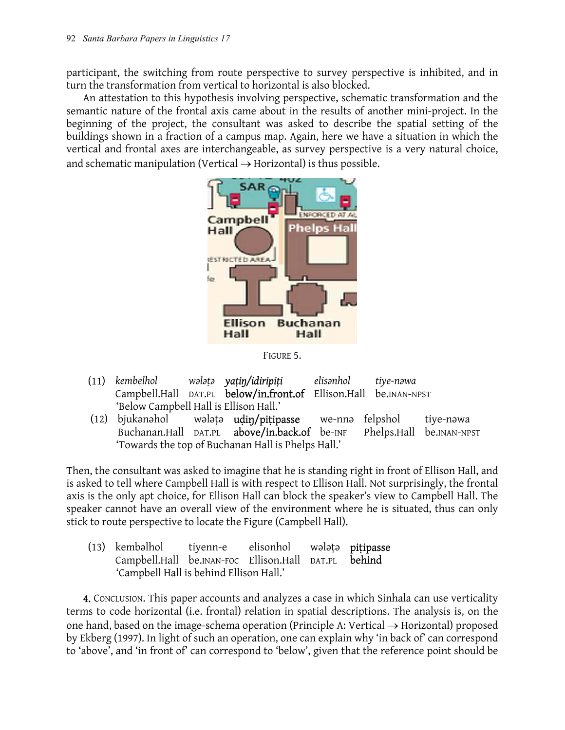participant, the switching from route perspective to survey perspective is inhibited, and in turn the transformation from vertical to horizontal is also blocked.

An attestation to this hypothesis involving perspective, schematic transformation and the semantic nature of the frontal axis came about in the results of another mini-project. In the beginning of the project, the consultant was asked to describe the spatial setting of the buildings shown in a fraction of a campus map. Again, here we have a situation in which the vertical and frontal axes are interchangeable, as survey perspective is a very natural choice, and schematic manipulation (Vertical  $\rightarrow$  Horizontal) is thus possible.



FIGURE 5.

- (11) *kembelhol wǝlǝṭǝ yaṭiŋ/idiripiṭi elisǝnhol tiye-nǝwa*  Campbell.Hall DAT.PL below/in.front.of Ellison.Hall be.INAN-NPST 'Below Campbell Hall is Ellison Hall.'
- (12) bjukǝnǝhol wǝlǝțǝ **udiŋ/piṭipasse** we-nnǝ felpshol tiye-nǝwa Buchanan.Hall DAT.PL above/in.back.of be-INF Phelps.Hall be.INAN-NPST 'Towards the top of Buchanan Hall is Phelps Hall.'

Then, the consultant was asked to imagine that he is standing right in front of Ellison Hall, and is asked to tell where Campbell Hall is with respect to Ellison Hall. Not surprisingly, the frontal axis is the only apt choice, for Ellison Hall can block the speaker's view to Campbell Hall. The speaker cannot have an overall view of the environment where he is situated, thus can only stick to route perspective to locate the Figure (Campbell Hall).

|  | (13) kembəlhol tiyenn-e elisonhol wələtə <b>pitipasse</b> |  |  |  |
|--|-----------------------------------------------------------|--|--|--|
|  | Campbell.Hall be.INAN-FOC Ellison.Hall DAT.PL behind      |  |  |  |
|  |                                                           |  |  |  |

4. CONCLUSION. This paper accounts and analyzes a case in which Sinhala can use verticality terms to code horizontal (i.e. frontal) relation in spatial descriptions. The analysis is, on the one hand, based on the image-schema operation (Principle A: Vertical  $\rightarrow$  Horizontal) proposed by Ekberg (1997). In light of such an operation, one can explain why 'in back of' can correspond to 'above', and 'in front of' can correspond to 'below', given that the reference point should be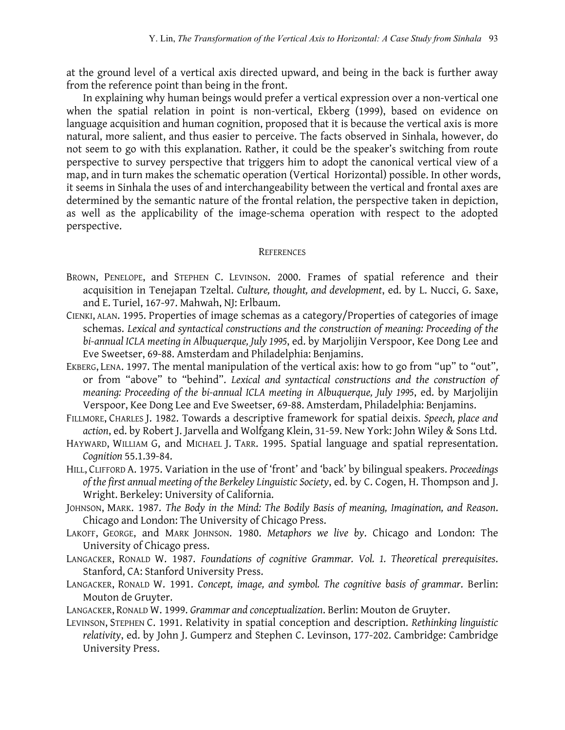at the ground level of a vertical axis directed upward, and being in the back is further away from the reference point than being in the front.

In explaining why human beings would prefer a vertical expression over a non-vertical one when the spatial relation in point is non-vertical, Ekberg (1999), based on evidence on language acquisition and human cognition, proposed that it is because the vertical axis is more natural, more salient, and thus easier to perceive. The facts observed in Sinhala, however, do not seem to go with this explanation. Rather, it could be the speaker's switching from route perspective to survey perspective that triggers him to adopt the canonical vertical view of a map, and in turn makes the schematic operation (Vertical Horizontal) possible. In other words, it seems in Sinhala the uses of and interchangeability between the vertical and frontal axes are determined by the semantic nature of the frontal relation, the perspective taken in depiction, as well as the applicability of the image-schema operation with respect to the adopted perspective.

## **REFERENCES**

- BROWN, PENELOPE, and STEPHEN C. LEVINSON. 2000. Frames of spatial reference and their acquisition in Tenejapan Tzeltal. *Culture, thought, and development*, ed. by L. Nucci, G. Saxe, and E. Turiel, 167-97. Mahwah, NJ: Erlbaum.
- CIENKI, ALAN. 1995. Properties of image schemas as a category/Properties of categories of image schemas. *Lexical and syntactical constructions and the construction of meaning: Proceeding of the bi-annual ICLA meeting in Albuquerque, July 1995*, ed. by Marjolijin Verspoor, Kee Dong Lee and Eve Sweetser, 69-88. Amsterdam and Philadelphia: Benjamins.
- EKBERG, LENA. 1997. The mental manipulation of the vertical axis: how to go from "up" to "out", or from "above" to "behind". *Lexical and syntactical constructions and the construction of meaning: Proceeding of the bi-annual ICLA meeting in Albuquerque, July 1995*, ed. by Marjolijin Verspoor, Kee Dong Lee and Eve Sweetser, 69-88. Amsterdam, Philadelphia: Benjamins.
- FILLMORE, CHARLES J. 1982. Towards a descriptive framework for spatial deixis. *Speech, place and action*, ed. by Robert J. Jarvella and Wolfgang Klein, 31-59. New York: John Wiley & Sons Ltd.
- HAYWARD, WILLIAM G, and MICHAEL J. TARR. 1995. Spatial language and spatial representation. *Cognition* 55.1.39-84.
- HILL, CLIFFORD A. 1975. Variation in the use of 'front' and 'back' by bilingual speakers. *Proceedings of the first annual meeting of the Berkeley Linguistic Society*, ed. by C. Cogen, H. Thompson and J. Wright. Berkeley: University of California.
- JOHNSON, MARK. 1987. *The Body in the Mind: The Bodily Basis of meaning, Imagination, and Reason*. Chicago and London: The University of Chicago Press.
- LAKOFF, GEORGE, and MARK JOHNSON. 1980. *Metaphors we live by*. Chicago and London: The University of Chicago press.
- LANGACKER, RONALD W. 1987. *Foundations of cognitive Grammar. Vol. 1. Theoretical prerequisites*. Stanford, CA: Stanford University Press.
- LANGACKER, RONALD W. 1991. *Concept, image, and symbol. The cognitive basis of grammar*. Berlin: Mouton de Gruyter.
- LANGACKER, RONALD W. 1999. *Grammar and conceptualization*. Berlin: Mouton de Gruyter.
- LEVINSON, STEPHEN C. 1991. Relativity in spatial conception and description. *Rethinking linguistic relativity*, ed. by John J. Gumperz and Stephen C. Levinson, 177-202. Cambridge: Cambridge University Press.